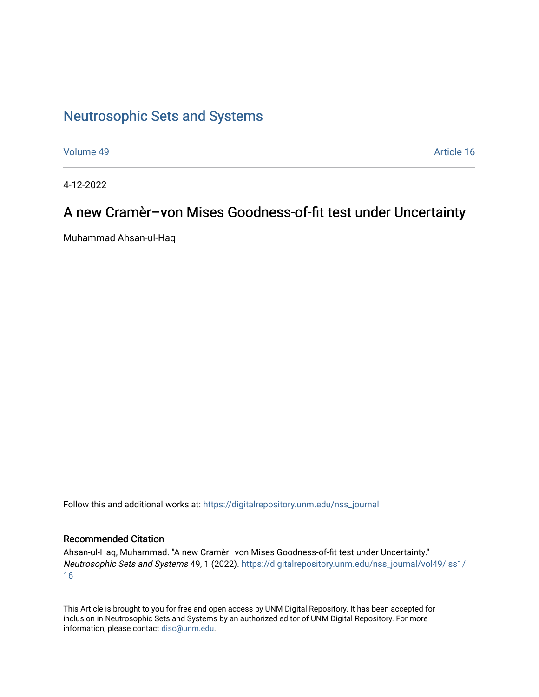# [Neutrosophic Sets and Systems](https://digitalrepository.unm.edu/nss_journal)

[Volume 49](https://digitalrepository.unm.edu/nss_journal/vol49) Article 16

4-12-2022

# A new Cramèr–von Mises Goodness-of-fit test under Uncertainty

Muhammad Ahsan-ul-Haq

Follow this and additional works at: [https://digitalrepository.unm.edu/nss\\_journal](https://digitalrepository.unm.edu/nss_journal?utm_source=digitalrepository.unm.edu%2Fnss_journal%2Fvol49%2Fiss1%2F16&utm_medium=PDF&utm_campaign=PDFCoverPages) 

## Recommended Citation

Ahsan-ul-Haq, Muhammad. "A new Cramèr–von Mises Goodness-of-fit test under Uncertainty." Neutrosophic Sets and Systems 49, 1 (2022). [https://digitalrepository.unm.edu/nss\\_journal/vol49/iss1/](https://digitalrepository.unm.edu/nss_journal/vol49/iss1/16?utm_source=digitalrepository.unm.edu%2Fnss_journal%2Fvol49%2Fiss1%2F16&utm_medium=PDF&utm_campaign=PDFCoverPages) [16](https://digitalrepository.unm.edu/nss_journal/vol49/iss1/16?utm_source=digitalrepository.unm.edu%2Fnss_journal%2Fvol49%2Fiss1%2F16&utm_medium=PDF&utm_campaign=PDFCoverPages)

This Article is brought to you for free and open access by UNM Digital Repository. It has been accepted for inclusion in Neutrosophic Sets and Systems by an authorized editor of UNM Digital Repository. For more information, please contact [disc@unm.edu](mailto:disc@unm.edu).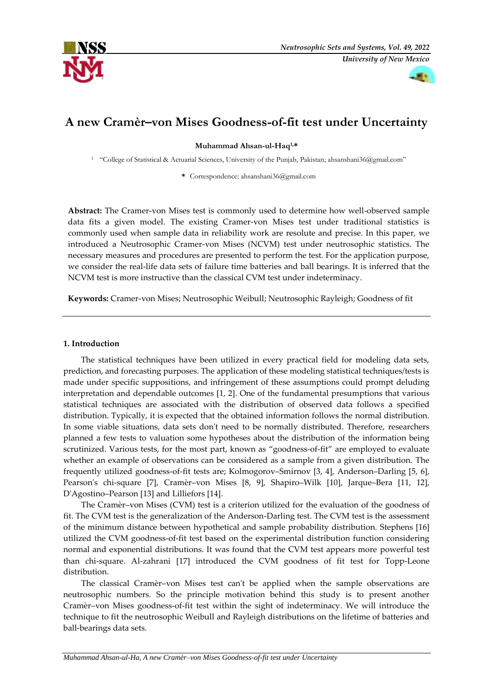



## **A new Cramèr–von Mises Goodness-of-fit test under Uncertainty**

**Muhammad Ahsan-ul-Haq1,\***

<sup>1</sup> "College of Statistical & Actuarial Sciences, University of the Punjab, Pakistan; ahsanshani36@gmail.com"

**\*** Correspondence: ahsanshani36@gmail.com

**Abstract:** The Cramer-von Mises test is commonly used to determine how well-observed sample data fits a given model. The existing Cramer-von Mises test under traditional statistics is commonly used when sample data in reliability work are resolute and precise. In this paper, we introduced a Neutrosophic Cramer-von Mises (NCVM) test under neutrosophic statistics. The necessary measures and procedures are presented to perform the test. For the application purpose, we consider the real-life data sets of failure time batteries and ball bearings. It is inferred that the NCVM test is more instructive than the classical CVM test under indeterminacy.

**Keywords:** Cramer-von Mises; Neutrosophic Weibull; Neutrosophic Rayleigh; Goodness of fit

### **1. Introduction**

The statistical techniques have been utilized in every practical field for modeling data sets, prediction, and forecasting purposes. The application of these modeling statistical techniques/tests is made under specific suppositions, and infringement of these assumptions could prompt deluding interpretation and dependable outcomes [1, 2]. One of the fundamental presumptions that various statistical techniques are associated with the distribution of observed data follows a specified distribution. Typically, it is expected that the obtained information follows the normal distribution. In some viable situations, data sets don't need to be normally distributed. Therefore, researchers planned a few tests to valuation some hypotheses about the distribution of the information being scrutinized. Various tests, for the most part, known as "goodness-of-fit" are employed to evaluate whether an example of observations can be considered as a sample from a given distribution. The frequently utilized goodness-of-fit tests are; Kolmogorov–Smirnov [3, 4], Anderson–Darling [5, 6], Pearson's chi-square [7], Cramèr–von Mises [8, 9], Shapiro–Wilk [10], Jarque–Bera [11, 12], D'Agostino–Pearson [13] and Lilliefors [14].

The Cramèr–von Mises (CVM) test is a criterion utilized for the evaluation of the goodness of fit. The CVM test is the generalization of the Anderson-Darling test. The CVM test is the assessment of the minimum distance between hypothetical and sample probability distribution. Stephens [16] utilized the CVM goodness-of-fit test based on the experimental distribution function considering normal and exponential distributions. It was found that the CVM test appears more powerful test than chi-square. Al-zahrani [17] introduced the CVM goodness of fit test for Topp-Leone distribution.

The classical Cramèr–von Mises test can't be applied when the sample observations are neutrosophic numbers. So the principle motivation behind this study is to present another Cramèr–von Mises goodness-of-fit test within the sight of indeterminacy. We will introduce the technique to fit the neutrosophic Weibull and Rayleigh distributions on the lifetime of batteries and ball-bearings data sets.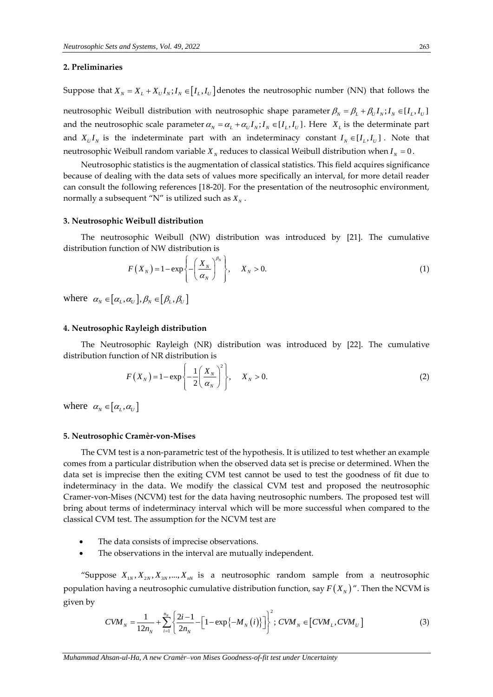### **2. Preliminaries**

Suppose that  $X_N = X_L + X_U I_N; I_N \in [I_L, I_U]$  denotes the neutrosophic number (NN) that follows the neutrosophic Weibull distribution with neutrosophic shape parameter  $\beta_{\scriptscriptstyle N}=\beta_{\scriptscriptstyle L}+\beta_{\scriptscriptstyle U}I_{\scriptscriptstyle N}; I_{\scriptscriptstyle N}\in [I_L,I_U]$ and the neutrosophic scale parameter  $\alpha_N = \alpha_L + \alpha_U I_N$ ;  $I_N \in [I_L, I_U]$ . Here  $X_L$  is the determinate part and  $X_U I_N$  is the indeterminate part with an indeterminacy constant  $I_N \in [I_L, I_U]$ . Note that neutrosophic Weibull random variable  $X_N$  reduces to classical Weibull distribution when  $I_N = 0$ .

Neutrosophic statistics is the augmentation of classical statistics. This field acquires significance because of dealing with the data sets of values more specifically an interval, for more detail reader can consult the following references [18-20]. For the presentation of the neutrosophic environment, normally a subsequent "N" is utilized such as  $X_{\scriptscriptstyle N}$  .

#### **3. Neutrosophic Weibull distribution**

The neutrosophic Weibull (NW) distribution was introduced by [21]. The cumulative

distribution function of NW distribution is  
\n
$$
F(X_N) = 1 - \exp\left\{-\left(\frac{X_N}{\alpha_N}\right)^{\beta_N}\right\}, \quad X_N > 0.
$$
\n(1)

where  $\alpha_N \in [\alpha_L, \alpha_U], \beta_N \in [\beta_L, \beta_U]$ 

#### **4. Neutrosophic Rayleigh distribution**

The Neutrosophic Rayleigh (NR) distribution was introduced by [22]. The cumulative

distribution function of NR distribution is  
\n
$$
F(X_N) = 1 - \exp\left\{-\frac{1}{2}\left(\frac{X_N}{\alpha_N}\right)^2\right\}, \quad X_N > 0.
$$
\n(2)

where  $\alpha_N \in [\alpha_L, \alpha_U]$ 

#### **5. Neutrosophic Cramèr-von-Mises**

The CVM test is a non-parametric test of the hypothesis. It is utilized to test whether an example comes from a particular distribution when the observed data set is precise or determined. When the data set is imprecise then the exiting CVM test cannot be used to test the goodness of fit due to indeterminacy in the data. We modify the classical CVM test and proposed the neutrosophic Cramer-von-Mises (NCVM) test for the data having neutrosophic numbers. The proposed test will bring about terms of indeterminacy interval which will be more successful when compared to the classical CVM test. The assumption for the NCVM test are

- The data consists of imprecise observations.
- The observations in the interval are mutually independent.

"Suppose  $X_{1N}$ ,  $X_{2N}$ ,  $X_{3N}$ , ...,  $X_{nN}$  is a neutrosophic random sample from a neutrosophic population having a neutrosophic cumulative distribution function, say  $F(X_N)$ ". Then the NCVM is<br>given by<br> $CVM_{N} = \frac{1}{1 + \sum_{i=1}^{n_N} \left\{ \frac{2i-1}{2} - \left[1 - \exp\{-M_N(i)\}\right] \right\}^2}$ ;  $CVM_{N} \in [CVM_{N}, CVM_{N}]$  (3) given by

$$
CVM_N = \frac{1}{12n_N} + \sum_{i=1}^{n_N} \left\{ \frac{2i-1}{2n_N} - \left[ 1 - \exp\{-M_N(i)\}\right] \right\}^2; CVM_N \in [CVM_L, CVM_U]
$$
(3)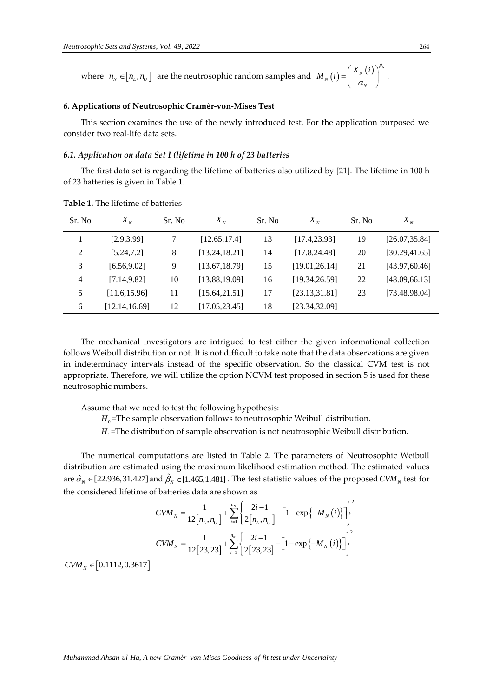where  $n_N \in [n_L, n_U]$  are the neutrosophic random samples and  $M_N(i) = \left(\frac{X_N(i)}{\alpha_N}\right)^{\mu_N}$  $M_N(i) = \frac{X_N(i)}{i}$ β α  $\left(X_{N}(i)\right)^{\beta_{N}}$  $=\left(\frac{R_N(\nu)}{\alpha_N}\right)$ .

### **6. Applications of Neutrosophic Cramèr-von-Mises Test**

This section examines the use of the newly introduced test. For the application purposed we consider two real-life data sets.

#### *6.1. Application on data Set I (lifetime in 100 h of 23 batteries*

The first data set is regarding the lifetime of batteries also utilized by [21]. The lifetime in 100 h of 23 batteries is given in Table 1.

| Sr. No         | $X_{N}$        | Sr. No | $X_{N}$        | Sr. No | $X_{N}$        | Sr. No | $X_{N}$        |
|----------------|----------------|--------|----------------|--------|----------------|--------|----------------|
|                | [2.9, 3.99]    | 7      | [12.65, 17.4]  | 13     | [17.4, 23.93]  | 19     | [26.07, 35.84] |
| $\overline{2}$ | [5.24, 7.2]    | 8      | [13.24, 18.21] | 14     | [17.8, 24.48]  | 20     | [30.29, 41.65] |
| 3              | [6.56, 9.02]   | 9      | [13.67, 18.79] | 15     | [19.01, 26.14] | 21     | [43.97, 60.46] |
| 4              | [7.14, 9.82]   | 10     | [13.88, 19.09] | 16     | [19.34, 26.59] | 22     | [48.09, 66.13] |
| 5              | [11.6, 15.96]  | 11     | [15.64, 21.51] | 17     | [23.13, 31.81] | 23     | [73.48, 98.04] |
| 6              | [12.14, 16.69] | 12     | [17.05, 23.45] | 18     | [23.34, 32.09] |        |                |

**Table 1.** The lifetime of batteries

The mechanical investigators are intrigued to test either the given informational collection follows Weibull distribution or not. It is not difficult to take note that the data observations are given in indeterminacy intervals instead of the specific observation. So the classical CVM test is not appropriate. Therefore, we will utilize the option NCVM test proposed in section 5 is used for these neutrosophic numbers.

Assume that we need to test the following hypothesis:

 $H_0$ =The sample observation follows to neutrosophic Weibull distribution.

*H*<sub>1</sub>=The distribution of sample observation is not neutrosophic Weibull distribution.

The numerical computations are listed in Table 2. The parameters of Neutrosophic Weibull distribution are estimated using the maximum likelihood estimation method. The estimated values are  $\hat{\alpha}_N \in [22.936,31.427]$  and  $\hat{\beta}_N \in [1.465,1.481]$  . The test statistic values of the proposed  $CVM_N$  test for

the considered lifetime of batteries data are shown as  
\n
$$
CVM_N = \frac{1}{12[n_L, n_U]} + \sum_{i=1}^{n_N} \left\{ \frac{2i - 1}{2[n_L, n_U]} - \left[ 1 - \exp\{-M_N(i)\}\right] \right\}^2
$$
\n
$$
CVM_N = \frac{1}{12[23, 23]} + \sum_{i=1}^{n_N} \left\{ \frac{2i - 1}{2[23, 23]} - \left[ 1 - \exp\{-M_N(i)\}\right] \right\}^2
$$

 $CVM<sub>N</sub> \in [0.1112, 0.3617]$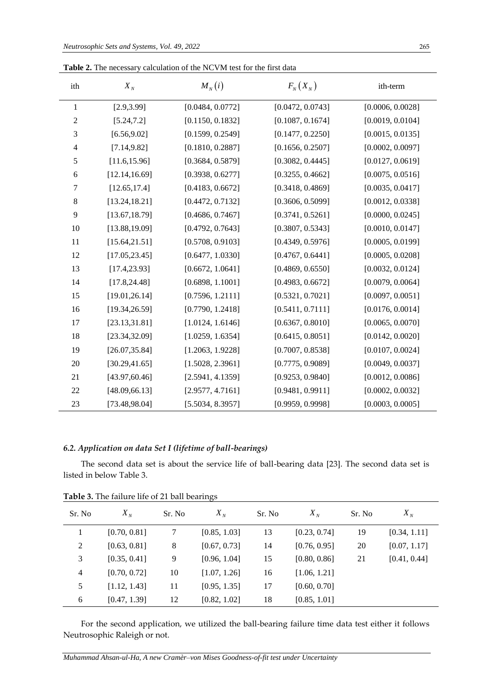| ith              | $X_{N}$        | $M_N(i)$         | $F_{N}(X_{N})$   | ith-term         |
|------------------|----------------|------------------|------------------|------------------|
| 1                | [2.9, 3.99]    | [0.0484, 0.0772] | [0.0472, 0.0743] | [0.0006, 0.0028] |
| $\boldsymbol{2}$ | [5.24, 7.2]    | [0.1150, 0.1832] | [0.1087, 0.1674] | [0.0019, 0.0104] |
| $\mathfrak{Z}$   | [6.56, 9.02]   | [0.1599, 0.2549] | [0.1477, 0.2250] | [0.0015, 0.0135] |
| 4                | [7.14, 9.82]   | [0.1810, 0.2887] | [0.1656, 0.2507] | [0.0002, 0.0097] |
| 5                | [11.6, 15.96]  | [0.3684, 0.5879] | [0.3082, 0.4445] | [0.0127, 0.0619] |
| 6                | [12.14, 16.69] | [0.3938, 0.6277] | [0.3255, 0.4662] | [0.0075, 0.0516] |
| 7                | [12.65, 17.4]  | [0.4183, 0.6672] | [0.3418, 0.4869] | [0.0035, 0.0417] |
| 8                | [13.24, 18.21] | [0.4472, 0.7132] | [0.3606, 0.5099] | [0.0012, 0.0338] |
| 9                | [13.67, 18.79] | [0.4686, 0.7467] | [0.3741, 0.5261] | [0.0000, 0.0245] |
| 10               | [13.88, 19.09] | [0.4792, 0.7643] | [0.3807, 0.5343] | [0.0010, 0.0147] |
| 11               | [15.64, 21.51] | [0.5708, 0.9103] | [0.4349, 0.5976] | [0.0005, 0.0199] |
| 12               | [17.05, 23.45] | [0.6477, 1.0330] | [0.4767, 0.6441] | [0.0005, 0.0208] |
| 13               | [17.4, 23.93]  | [0.6672, 1.0641] | [0.4869, 0.6550] | [0.0032, 0.0124] |
| 14               | [17.8, 24.48]  | [0.6898, 1.1001] | [0.4983, 0.6672] | [0.0079, 0.0064] |
| 15               | [19.01, 26.14] | [0.7596, 1.2111] | [0.5321, 0.7021] | [0.0097, 0.0051] |
| 16               | [19.34, 26.59] | [0.7790, 1.2418] | [0.5411, 0.7111] | [0.0176, 0.0014] |
| 17               | [23.13, 31.81] | [1.0124, 1.6146] | [0.6367, 0.8010] | [0.0065, 0.0070] |
| 18               | [23.34, 32.09] | [1.0259, 1.6354] | [0.6415, 0.8051] | [0.0142, 0.0020] |
| 19               | [26.07, 35.84] | [1.2063, 1.9228] | [0.7007, 0.8538] | [0.0107, 0.0024] |
| 20               | [30.29, 41.65] | [1.5028, 2.3961] | [0.7775, 0.9089] | [0.0049, 0.0037] |
| 21               | [43.97, 60.46] | [2.5941, 4.1359] | [0.9253, 0.9840] | [0.0012, 0.0086] |
| 22               | [48.09, 66.13] | [2.9577, 4.7161] | [0.9481, 0.9911] | [0.0002, 0.0032] |
| 23               | [73.48, 98.04] | [5.5034, 8.3957] | [0.9959, 0.9998] | [0.0003, 0.0005] |

**Table 2.** The necessary calculation of the NCVM test for the first data

## *6.2. Application on data Set I (lifetime of ball-bearings)*

The second data set is about the service life of ball-bearing data [23]. The second data set is listed in below Table 3.

| Sr. No         | $X_{N}$      | Sr. No | $X_{N}$      | Sr. No | $X_{N}$      | Sr. No | $X_{N}$      |
|----------------|--------------|--------|--------------|--------|--------------|--------|--------------|
|                | [0.70, 0.81] | 7      | [0.85, 1.03] | 13     | [0.23, 0.74] | 19     | [0.34, 1.11] |
| 2              | [0.63, 0.81] | 8      | [0.67, 0.73] | 14     | [0.76, 0.95] | 20     | [0.07, 1.17] |
| 3              | [0.35, 0.41] | 9      | [0.96, 1.04] | 15     | [0.80, 0.86] | 21     | [0.41, 0.44] |
| $\overline{4}$ | [0.70, 0.72] | 10     | [1.07, 1.26] | 16     | [1.06, 1.21] |        |              |
| 5              | [1.12, 1.43] | 11     | [0.95, 1.35] | 17     | [0.60, 0.70] |        |              |
| 6              | [0.47, 1.39] | 12     | [0.82, 1.02] | 18     | [0.85, 1.01] |        |              |

**Table 3.** The failure life of 21 ball bearings

For the second application, we utilized the ball-bearing failure time data test either it follows Neutrosophic Raleigh or not.

*Muhammad Ahsan-ul-Ha, A new Cramèr–von Mises Goodness-of-fit test under Uncertainty*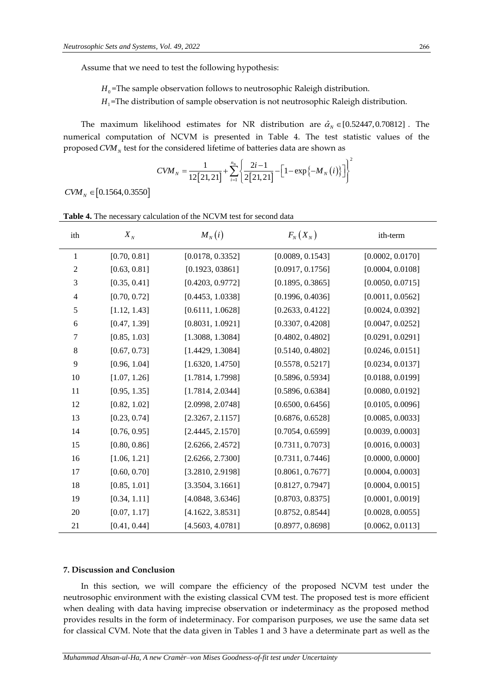Assume that we need to test the following hypothesis:

 $H_0$ =The sample observation follows to neutrosophic Raleigh distribution.

*H*1 =The distribution of sample observation is not neutrosophic Raleigh distribution.

The maximum likelihood estimates for NR distribution are  $\hat{\alpha}_N \in [0.52447, 0.70812]$ . The numerical computation of NCVM is presented in Table 4. The test statistic values of the

proposed *CVM<sub>N</sub>* test for the considered lifetime of batteries data are shown as  
\n
$$
CVM_N = \frac{1}{12[21,21]} + \sum_{i=1}^{n_N} \left\{ \frac{2i-1}{2[21,21]} - \left[ 1 - \exp\{-M_N(i)\}\right] \right\}^2
$$

 $CVM<sub>N</sub> \in [0.1564, 0.3550]$ 

| ith            | $X_{N}$      | $M_N(i)$         | $F_{N}(X_{N})$   | ith-term         |
|----------------|--------------|------------------|------------------|------------------|
| $\mathbf{1}$   | [0.70, 0.81] | [0.0178, 0.3352] | [0.0089, 0.1543] | [0.0002, 0.0170] |
| $\overline{2}$ | [0.63, 0.81] | [0.1923, 03861]  | [0.0917, 0.1756] | [0.0004, 0.0108] |
| 3              | [0.35, 0.41] | [0.4203, 0.9772] | [0.1895, 0.3865] | [0.0050, 0.0715] |
| $\overline{4}$ | [0.70, 0.72] | [0.4453, 1.0338] | [0.1996, 0.4036] | [0.0011, 0.0562] |
| 5              | [1.12, 1.43] | [0.6111, 1.0628] | [0.2633, 0.4122] | [0.0024, 0.0392] |
| 6              | [0.47, 1.39] | [0.8031, 1.0921] | [0.3307, 0.4208] | [0.0047, 0.0252] |
| $\tau$         | [0.85, 1.03] | [1.3088, 1.3084] | [0.4802, 0.4802] | [0.0291, 0.0291] |
| 8              | [0.67, 0.73] | [1.4429, 1.3084] | [0.5140, 0.4802] | [0.0246, 0.0151] |
| 9              | [0.96, 1.04] | [1.6320, 1.4750] | [0.5578, 0.5217] | [0.0234, 0.0137] |
| 10             | [1.07, 1.26] | [1.7814, 1.7998] | [0.5896, 0.5934] | [0.0188, 0.0199] |
| 11             | [0.95, 1.35] | [1.7814, 2.0344] | [0.5896, 0.6384] | [0.0080, 0.0192] |
| 12             | [0.82, 1.02] | [2.0998, 2.0748] | [0.6500, 0.6456] | [0.0105, 0.0096] |
| 13             | [0.23, 0.74] | [2.3267, 2.1157] | [0.6876, 0.6528] | [0.0085, 0.0033] |
| 14             | [0.76, 0.95] | [2.4445, 2.1570] | [0.7054, 0.6599] | [0.0039, 0.0003] |
| 15             | [0.80, 0.86] | [2.6266, 2.4572] | [0.7311, 0.7073] | [0.0016, 0.0003] |
| 16             | [1.06, 1.21] | [2.6266, 2.7300] | [0.7311, 0.7446] | [0.0000, 0.0000] |
| 17             | [0.60, 0.70] | [3.2810, 2.9198] | [0.8061, 0.7677] | [0.0004, 0.0003] |
| 18             | [0.85, 1.01] | [3.3504, 3.1661] | [0.8127, 0.7947] | [0.0004, 0.0015] |
| 19             | [0.34, 1.11] | [4.0848, 3.6346] | [0.8703, 0.8375] | [0.0001, 0.0019] |
| 20             | [0.07, 1.17] | [4.1622, 3.8531] | [0.8752, 0.8544] | [0.0028, 0.0055] |
| 21             | [0.41, 0.44] | [4.5603, 4.0781] | [0.8977, 0.8698] | [0.0062, 0.0113] |

**Table 4.** The necessary calculation of the NCVM test for second data

## **7. Discussion and Conclusion**

In this section, we will compare the efficiency of the proposed NCVM test under the neutrosophic environment with the existing classical CVM test. The proposed test is more efficient when dealing with data having imprecise observation or indeterminacy as the proposed method provides results in the form of indeterminacy. For comparison purposes, we use the same data set for classical CVM. Note that the data given in Tables 1 and 3 have a determinate part as well as the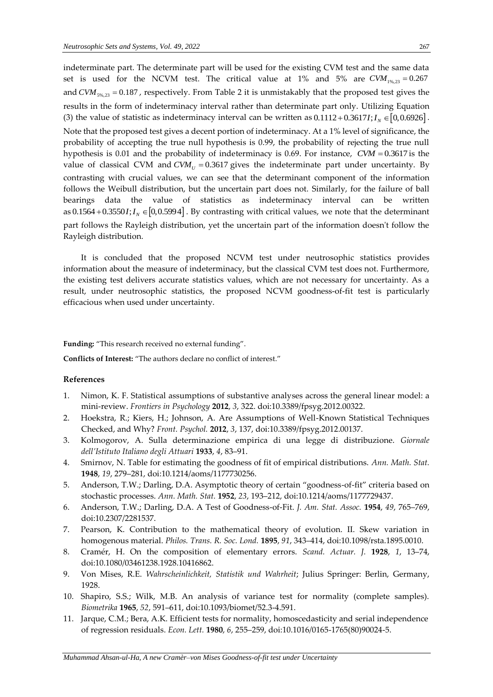indeterminate part. The determinate part will be used for the existing CVM test and the same data set is used for the NCVM test. The critical value at  $1\%$  and  $5\%$  are  $CVM_{1\%,23} = 0.267$ and CVM<sub>5%,23</sub> = 0.187, respectively. From Table 2 it is unmistakably that the proposed test gives the results in the form of indeterminacy interval rather than determinate part only. Utilizing Equation Tesuns in the form of indeterminacy interval rather than determinate part only. Utilizing Equation (3) the value of statistic as indeterminacy interval can be written as  $0.1112+0.3617I; I_N \in [0, 0.6926]$ . Note that the proposed test gives a decent portion of indeterminacy. At a 1% level of significance, the probability of accepting the true null hypothesis is 0.99, the probability of rejecting the true null hypothesis is 0.01 and the probability of indeterminacy is 0.69. For instance, *CVM* = 0.3617 is the value of classical CVM and  $CVM$ <sub>*U*</sub> = 0.3617 gives the indeterminate part under uncertainty. By contrasting with crucial values, we can see that the determinant component of the information follows the Weibull distribution, but the uncertain part does not. Similarly, for the failure of ball bearings data the value of statistics as indeterminacy interval can be written bearings data the value of statistics as indeterminacy interval can be written<br>as  $0.1564 + 0.3550I$ ;  $I_N \in [0, 0.5994]$ . By contrasting with critical values, we note that the determinant part follows the Rayleigh distribution, yet the uncertain part of the information doesn't follow the Rayleigh distribution.

It is concluded that the proposed NCVM test under neutrosophic statistics provides information about the measure of indeterminacy, but the classical CVM test does not. Furthermore, the existing test delivers accurate statistics values, which are not necessary for uncertainty. As a result, under neutrosophic statistics, the proposed NCVM goodness-of-fit test is particularly efficacious when used under uncertainty.

**Funding:** "This research received no external funding".

**Conflicts of Interest:** "The authors declare no conflict of interest."

## **References**

- 1. Nimon, K. F. Statistical assumptions of substantive analyses across the general linear model: a mini-review. *Frontiers in Psychology* **2012**, *3*, 322. doi:10.3389/fpsyg.2012.00322.
- 2. Hoekstra, R.; Kiers, H.; Johnson, A. Are Assumptions of Well-Known Statistical Techniques Checked, and Why? *Front. Psychol.* **2012**, *3*, 137, doi:10.3389/fpsyg.2012.00137.
- 3. Kolmogorov, A. Sulla determinazione empirica di una legge di distribuzione. *Giornale dell'Istituto Italiano degli Attuari* **1933**, *4*, 83–91.
- 4. Smirnov, N. Table for estimating the goodness of fit of empirical distributions. *Ann. Math. Stat.*  **1948**, *19*, 279–281, doi:10.1214/aoms/1177730256.
- 5. Anderson, T.W.; Darling, D.A. Asymptotic theory of certain "goodness-of-fit" criteria based on stochastic processes. *Ann. Math. Stat.* **1952**, *23*, 193–212, doi:10.1214/aoms/1177729437.
- 6. Anderson, T.W.; Darling, D.A. A Test of Goodness-of-Fit. *J. Am. Stat. Assoc.* **1954**, *49*, 765–769, doi:10.2307/2281537.
- 7. Pearson, K. Contribution to the mathematical theory of evolution. II. Skew variation in homogenous material. *Philos. Trans. R. Soc. Lond.* **1895**, *91*, 343–414, doi:10.1098/rsta.1895.0010.
- 8. Cramér, H. On the composition of elementary errors. *Scand. Actuar. J.* **1928**, *1*, 13–74, doi:10.1080/03461238.1928.10416862.
- 9. Von Mises, R.E. *Wahrscheinlichkeit, Statistik und Wahrheit*; Julius Springer: Berlin, Germany, 1928.
- 10. Shapiro, S.S.; Wilk, M.B. An analysis of variance test for normality (complete samples). *Biometrika* **1965**, *52*, 591–611, doi:10.1093/biomet/52.3-4.591.
- 11. Jarque, C.M.; Bera, A.K. Efficient tests for normality, homoscedasticity and serial independence of regression residuals. *Econ. Lett.* **1980**, *6*, 255–259, doi:10.1016/0165-1765(80)90024-5.